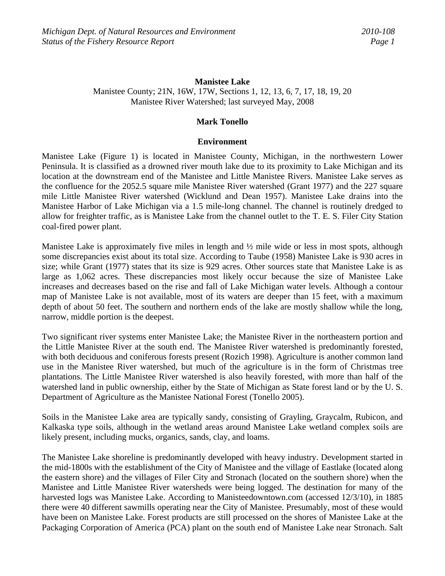### **Manistee Lake**

Manistee County; 21N, 16W, 17W, Sections 1, 12, 13, 6, 7, 17, 18, 19, 20 Manistee River Watershed; last surveyed May, 2008

### **Mark Tonello**

### **Environment**

Manistee Lake (Figure 1) is located in Manistee County, Michigan, in the northwestern Lower Peninsula. It is classified as a drowned river mouth lake due to its proximity to Lake Michigan and its location at the downstream end of the Manistee and Little Manistee Rivers. Manistee Lake serves as the confluence for the 2052.5 square mile Manistee River watershed (Grant 1977) and the 227 square mile Little Manistee River watershed (Wicklund and Dean 1957). Manistee Lake drains into the Manistee Harbor of Lake Michigan via a 1.5 mile-long channel. The channel is routinely dredged to allow for freighter traffic, as is Manistee Lake from the channel outlet to the T. E. S. Filer City Station coal-fired power plant.

Manistee Lake is approximately five miles in length and  $\frac{1}{2}$  mile wide or less in most spots, although some discrepancies exist about its total size. According to Taube (1958) Manistee Lake is 930 acres in size; while Grant (1977) states that its size is 929 acres. Other sources state that Manistee Lake is as large as 1,062 acres. These discrepancies most likely occur because the size of Manistee Lake increases and decreases based on the rise and fall of Lake Michigan water levels. Although a contour map of Manistee Lake is not available, most of its waters are deeper than 15 feet, with a maximum depth of about 50 feet. The southern and northern ends of the lake are mostly shallow while the long, narrow, middle portion is the deepest.

Two significant river systems enter Manistee Lake; the Manistee River in the northeastern portion and the Little Manistee River at the south end. The Manistee River watershed is predominantly forested, with both deciduous and coniferous forests present (Rozich 1998). Agriculture is another common land use in the Manistee River watershed, but much of the agriculture is in the form of Christmas tree plantations. The Little Manistee River watershed is also heavily forested, with more than half of the watershed land in public ownership, either by the State of Michigan as State forest land or by the U. S. Department of Agriculture as the Manistee National Forest (Tonello 2005).

Soils in the Manistee Lake area are typically sandy, consisting of Grayling, Graycalm, Rubicon, and Kalkaska type soils, although in the wetland areas around Manistee Lake wetland complex soils are likely present, including mucks, organics, sands, clay, and loams.

The Manistee Lake shoreline is predominantly developed with heavy industry. Development started in the mid-1800s with the establishment of the City of Manistee and the village of Eastlake (located along the eastern shore) and the villages of Filer City and Stronach (located on the southern shore) when the Manistee and Little Manistee River watersheds were being logged. The destination for many of the harvested logs was Manistee Lake. According to Manisteedowntown.com (accessed 12/3/10), in 1885 there were 40 different sawmills operating near the City of Manistee. Presumably, most of these would have been on Manistee Lake. Forest products are still processed on the shores of Manistee Lake at the Packaging Corporation of America (PCA) plant on the south end of Manistee Lake near Stronach. Salt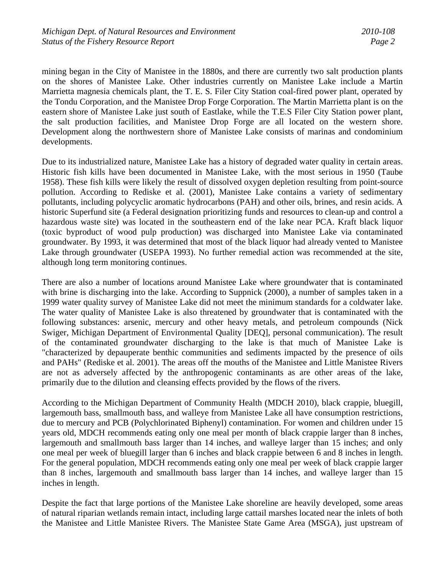mining began in the City of Manistee in the 1880s, and there are currently two salt production plants on the shores of Manistee Lake. Other industries currently on Manistee Lake include a Martin Marrietta magnesia chemicals plant, the T. E. S. Filer City Station coal-fired power plant, operated by the Tondu Corporation, and the Manistee Drop Forge Corporation. The Martin Marrietta plant is on the eastern shore of Manistee Lake just south of Eastlake, while the T.E.S Filer City Station power plant, the salt production facilities, and Manistee Drop Forge are all located on the western shore. Development along the northwestern shore of Manistee Lake consists of marinas and condominium developments.

Due to its industrialized nature, Manistee Lake has a history of degraded water quality in certain areas. Historic fish kills have been documented in Manistee Lake, with the most serious in 1950 (Taube 1958). These fish kills were likely the result of dissolved oxygen depletion resulting from point-source pollution. According to Rediske et al. (2001), Manistee Lake contains a variety of sedimentary pollutants, including polycyclic aromatic hydrocarbons (PAH) and other oils, brines, and resin acids. A historic Superfund site (a Federal designation prioritizing funds and resources to clean-up and control a hazardous waste site) was located in the southeastern end of the lake near PCA. Kraft black liquor (toxic byproduct of wood pulp production) was discharged into Manistee Lake via contaminated groundwater. By 1993, it was determined that most of the black liquor had already vented to Manistee Lake through groundwater (USEPA 1993). No further remedial action was recommended at the site, although long term monitoring continues.

There are also a number of locations around Manistee Lake where groundwater that is contaminated with brine is discharging into the lake. According to Suppnick (2000), a number of samples taken in a 1999 water quality survey of Manistee Lake did not meet the minimum standards for a coldwater lake. The water quality of Manistee Lake is also threatened by groundwater that is contaminated with the following substances: arsenic, mercury and other heavy metals, and petroleum compounds (Nick Swiger, Michigan Department of Environmental Quality [DEQ], personal communication). The result of the contaminated groundwater discharging to the lake is that much of Manistee Lake is "characterized by depauperate benthic communities and sediments impacted by the presence of oils and PAHs" (Rediske et al. 2001). The areas off the mouths of the Manistee and Little Manistee Rivers are not as adversely affected by the anthropogenic contaminants as are other areas of the lake, primarily due to the dilution and cleansing effects provided by the flows of the rivers.

According to the Michigan Department of Community Health (MDCH 2010), black crappie, bluegill, largemouth bass, smallmouth bass, and walleye from Manistee Lake all have consumption restrictions, due to mercury and PCB (Polychlorinated Biphenyl) contamination. For women and children under 15 years old, MDCH recommends eating only one meal per month of black crappie larger than 8 inches, largemouth and smallmouth bass larger than 14 inches, and walleye larger than 15 inches; and only one meal per week of bluegill larger than 6 inches and black crappie between 6 and 8 inches in length. For the general population, MDCH recommends eating only one meal per week of black crappie larger than 8 inches, largemouth and smallmouth bass larger than 14 inches, and walleye larger than 15 inches in length.

Despite the fact that large portions of the Manistee Lake shoreline are heavily developed, some areas of natural riparian wetlands remain intact, including large cattail marshes located near the inlets of both the Manistee and Little Manistee Rivers. The Manistee State Game Area (MSGA), just upstream of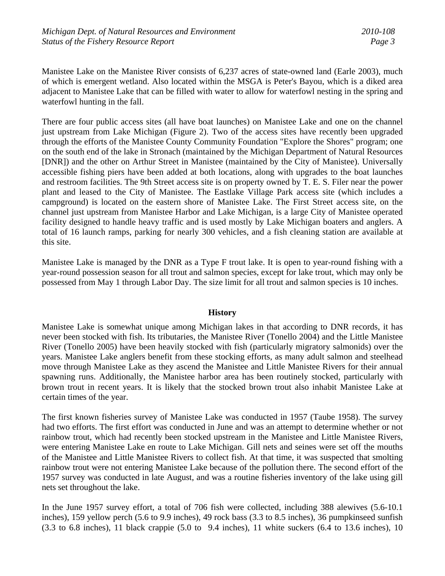Manistee Lake on the Manistee River consists of 6,237 acres of state-owned land (Earle 2003), much of which is emergent wetland. Also located within the MSGA is Peter's Bayou, which is a diked area adjacent to Manistee Lake that can be filled with water to allow for waterfowl nesting in the spring and waterfowl hunting in the fall.

There are four public access sites (all have boat launches) on Manistee Lake and one on the channel just upstream from Lake Michigan (Figure 2). Two of the access sites have recently been upgraded through the efforts of the Manistee County Community Foundation "Explore the Shores" program; one on the south end of the lake in Stronach (maintained by the Michigan Department of Natural Resources [DNR]) and the other on Arthur Street in Manistee (maintained by the City of Manistee). Universally accessible fishing piers have been added at both locations, along with upgrades to the boat launches and restroom facilities. The 9th Street access site is on property owned by T. E. S. Filer near the power plant and leased to the City of Manistee. The Eastlake Village Park access site (which includes a campground) is located on the eastern shore of Manistee Lake. The First Street access site, on the channel just upstream from Manistee Harbor and Lake Michigan, is a large City of Manistee operated facility designed to handle heavy traffic and is used mostly by Lake Michigan boaters and anglers. A total of 16 launch ramps, parking for nearly 300 vehicles, and a fish cleaning station are available at this site.

Manistee Lake is managed by the DNR as a Type F trout lake. It is open to year-round fishing with a year-round possession season for all trout and salmon species, except for lake trout, which may only be possessed from May 1 through Labor Day. The size limit for all trout and salmon species is 10 inches.

### **History**

Manistee Lake is somewhat unique among Michigan lakes in that according to DNR records, it has never been stocked with fish. Its tributaries, the Manistee River (Tonello 2004) and the Little Manistee River (Tonello 2005) have been heavily stocked with fish (particularly migratory salmonids) over the years. Manistee Lake anglers benefit from these stocking efforts, as many adult salmon and steelhead move through Manistee Lake as they ascend the Manistee and Little Manistee Rivers for their annual spawning runs. Additionally, the Manistee harbor area has been routinely stocked, particularly with brown trout in recent years. It is likely that the stocked brown trout also inhabit Manistee Lake at certain times of the year.

The first known fisheries survey of Manistee Lake was conducted in 1957 (Taube 1958). The survey had two efforts. The first effort was conducted in June and was an attempt to determine whether or not rainbow trout, which had recently been stocked upstream in the Manistee and Little Manistee Rivers, were entering Manistee Lake en route to Lake Michigan. Gill nets and seines were set off the mouths of the Manistee and Little Manistee Rivers to collect fish. At that time, it was suspected that smolting rainbow trout were not entering Manistee Lake because of the pollution there. The second effort of the 1957 survey was conducted in late August, and was a routine fisheries inventory of the lake using gill nets set throughout the lake.

In the June 1957 survey effort, a total of 706 fish were collected, including 388 alewives (5.6-10.1 inches), 159 yellow perch (5.6 to 9.9 inches), 49 rock bass (3.3 to 8.5 inches), 36 pumpkinseed sunfish (3.3 to 6.8 inches), 11 black crappie (5.0 to 9.4 inches), 11 white suckers (6.4 to 13.6 inches), 10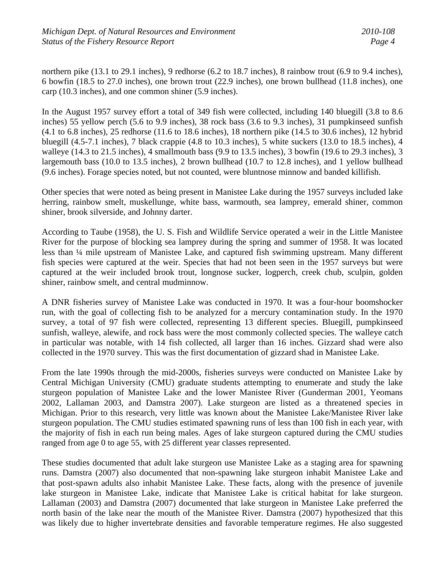northern pike (13.1 to 29.1 inches), 9 redhorse (6.2 to 18.7 inches), 8 rainbow trout (6.9 to 9.4 inches), 6 bowfin (18.5 to 27.0 inches), one brown trout (22.9 inches), one brown bullhead (11.8 inches), one carp (10.3 inches), and one common shiner (5.9 inches).

In the August 1957 survey effort a total of 349 fish were collected, including 140 bluegill (3.8 to 8.6 inches) 55 yellow perch (5.6 to 9.9 inches), 38 rock bass (3.6 to 9.3 inches), 31 pumpkinseed sunfish (4.1 to 6.8 inches), 25 redhorse (11.6 to 18.6 inches), 18 northern pike (14.5 to 30.6 inches), 12 hybrid bluegill (4.5-7.1 inches), 7 black crappie (4.8 to 10.3 inches), 5 white suckers (13.0 to 18.5 inches), 4 walleye (14.3 to 21.5 inches), 4 smallmouth bass (9.9 to 13.5 inches), 3 bowfin (19.6 to 29.3 inches), 3 largemouth bass (10.0 to 13.5 inches), 2 brown bullhead (10.7 to 12.8 inches), and 1 yellow bullhead (9.6 inches). Forage species noted, but not counted, were bluntnose minnow and banded killifish.

Other species that were noted as being present in Manistee Lake during the 1957 surveys included lake herring, rainbow smelt, muskellunge, white bass, warmouth, sea lamprey, emerald shiner, common shiner, brook silverside, and Johnny darter.

According to Taube (1958), the U. S. Fish and Wildlife Service operated a weir in the Little Manistee River for the purpose of blocking sea lamprey during the spring and summer of 1958. It was located less than ¼ mile upstream of Manistee Lake, and captured fish swimming upstream. Many different fish species were captured at the weir. Species that had not been seen in the 1957 surveys but were captured at the weir included brook trout, longnose sucker, logperch, creek chub, sculpin, golden shiner, rainbow smelt, and central mudminnow.

A DNR fisheries survey of Manistee Lake was conducted in 1970. It was a four-hour boomshocker run, with the goal of collecting fish to be analyzed for a mercury contamination study. In the 1970 survey, a total of 97 fish were collected, representing 13 different species. Bluegill, pumpkinseed sunfish, walleye, alewife, and rock bass were the most commonly collected species. The walleye catch in particular was notable, with 14 fish collected, all larger than 16 inches. Gizzard shad were also collected in the 1970 survey. This was the first documentation of gizzard shad in Manistee Lake.

From the late 1990s through the mid-2000s, fisheries surveys were conducted on Manistee Lake by Central Michigan University (CMU) graduate students attempting to enumerate and study the lake sturgeon population of Manistee Lake and the lower Manistee River (Gunderman 2001, Yeomans 2002, Lallaman 2003, and Damstra 2007). Lake sturgeon are listed as a threatened species in Michigan. Prior to this research, very little was known about the Manistee Lake/Manistee River lake sturgeon population. The CMU studies estimated spawning runs of less than 100 fish in each year, with the majority of fish in each run being males. Ages of lake sturgeon captured during the CMU studies ranged from age 0 to age 55, with 25 different year classes represented.

These studies documented that adult lake sturgeon use Manistee Lake as a staging area for spawning runs. Damstra (2007) also documented that non-spawning lake sturgeon inhabit Manistee Lake and that post-spawn adults also inhabit Manistee Lake. These facts, along with the presence of juvenile lake sturgeon in Manistee Lake, indicate that Manistee Lake is critical habitat for lake sturgeon. Lallaman (2003) and Damstra (2007) documented that lake sturgeon in Manistee Lake preferred the north basin of the lake near the mouth of the Manistee River. Damstra (2007) hypothesized that this was likely due to higher invertebrate densities and favorable temperature regimes. He also suggested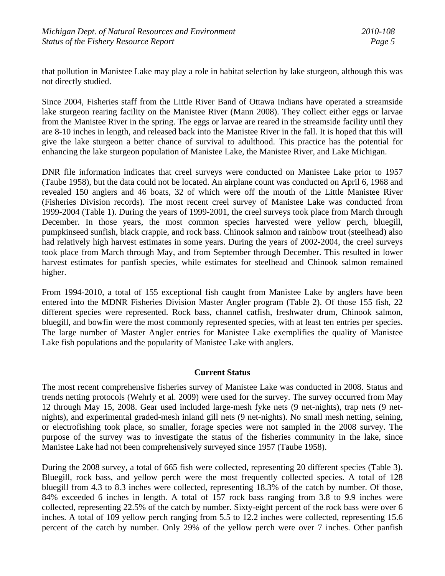that pollution in Manistee Lake may play a role in habitat selection by lake sturgeon, although this was not directly studied.

Since 2004, Fisheries staff from the Little River Band of Ottawa Indians have operated a streamside lake sturgeon rearing facility on the Manistee River (Mann 2008). They collect either eggs or larvae from the Manistee River in the spring. The eggs or larvae are reared in the streamside facility until they are 8-10 inches in length, and released back into the Manistee River in the fall. It is hoped that this will give the lake sturgeon a better chance of survival to adulthood. This practice has the potential for enhancing the lake sturgeon population of Manistee Lake, the Manistee River, and Lake Michigan.

DNR file information indicates that creel surveys were conducted on Manistee Lake prior to 1957 (Taube 1958), but the data could not be located. An airplane count was conducted on April 6, 1968 and revealed 150 anglers and 46 boats, 32 of which were off the mouth of the Little Manistee River (Fisheries Division records). The most recent creel survey of Manistee Lake was conducted from 1999-2004 (Table 1). During the years of 1999-2001, the creel surveys took place from March through December. In those years, the most common species harvested were yellow perch, bluegill, pumpkinseed sunfish, black crappie, and rock bass. Chinook salmon and rainbow trout (steelhead) also had relatively high harvest estimates in some years. During the years of 2002-2004, the creel surveys took place from March through May, and from September through December. This resulted in lower harvest estimates for panfish species, while estimates for steelhead and Chinook salmon remained higher.

From 1994-2010, a total of 155 exceptional fish caught from Manistee Lake by anglers have been entered into the MDNR Fisheries Division Master Angler program (Table 2). Of those 155 fish, 22 different species were represented. Rock bass, channel catfish, freshwater drum, Chinook salmon, bluegill, and bowfin were the most commonly represented species, with at least ten entries per species. The large number of Master Angler entries for Manistee Lake exemplifies the quality of Manistee Lake fish populations and the popularity of Manistee Lake with anglers.

# **Current Status**

The most recent comprehensive fisheries survey of Manistee Lake was conducted in 2008. Status and trends netting protocols (Wehrly et al. 2009) were used for the survey. The survey occurred from May 12 through May 15, 2008. Gear used included large-mesh fyke nets (9 net-nights), trap nets (9 netnights), and experimental graded-mesh inland gill nets (9 net-nights). No small mesh netting, seining, or electrofishing took place, so smaller, forage species were not sampled in the 2008 survey. The purpose of the survey was to investigate the status of the fisheries community in the lake, since Manistee Lake had not been comprehensively surveyed since 1957 (Taube 1958).

During the 2008 survey, a total of 665 fish were collected, representing 20 different species (Table 3). Bluegill, rock bass, and yellow perch were the most frequently collected species. A total of 128 bluegill from 4.3 to 8.3 inches were collected, representing 18.3% of the catch by number. Of those, 84% exceeded 6 inches in length. A total of 157 rock bass ranging from 3.8 to 9.9 inches were collected, representing 22.5% of the catch by number. Sixty-eight percent of the rock bass were over 6 inches. A total of 109 yellow perch ranging from 5.5 to 12.2 inches were collected, representing 15.6 percent of the catch by number. Only 29% of the yellow perch were over 7 inches. Other panfish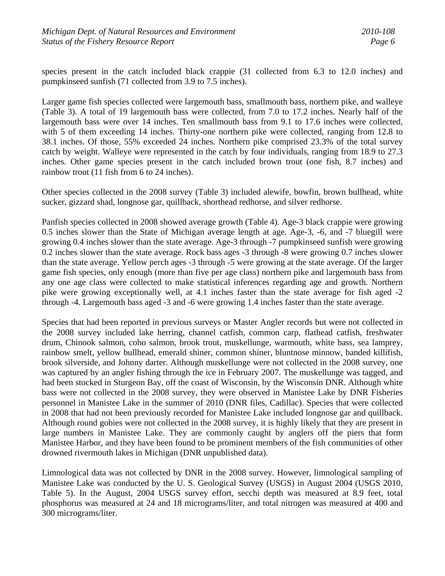species present in the catch included black crappie (31 collected from 6.3 to 12.0 inches) and pumpkinseed sunfish (71 collected from 3.9 to 7.5 inches).

Larger game fish species collected were largemouth bass, smallmouth bass, northern pike, and walleye (Table 3). A total of 19 largemouth bass were collected, from 7.0 to 17.2 inches. Nearly half of the largemouth bass were over 14 inches. Ten smallmouth bass from 9.1 to 17.6 inches were collected, with 5 of them exceeding 14 inches. Thirty-one northern pike were collected, ranging from 12.8 to 38.1 inches. Of those, 55% exceeded 24 inches. Northern pike comprised 23.3% of the total survey catch by weight. Walleye were represented in the catch by four individuals, ranging from 18.9 to 27.3 inches. Other game species present in the catch included brown trout (one fish, 8.7 inches) and rainbow trout (11 fish from 6 to 24 inches).

Other species collected in the 2008 survey (Table 3) included alewife, bowfin, brown bullhead, white sucker, gizzard shad, longnose gar, quillback, shorthead redhorse, and silver redhorse.

Panfish species collected in 2008 showed average growth (Table 4). Age-3 black crappie were growing 0.5 inches slower than the State of Michigan average length at age. Age-3, -6, and -7 bluegill were growing 0.4 inches slower than the state average. Age-3 through -7 pumpkinseed sunfish were growing 0.2 inches slower than the state average. Rock bass ages -3 through -8 were growing 0.7 inches slower than the state average. Yellow perch ages -3 through -5 were growing at the state average. Of the larger game fish species, only enough (more than five per age class) northern pike and largemouth bass from any one age class were collected to make statistical inferences regarding age and growth. Northern pike were growing exceptionally well, at 4.1 inches faster than the state average for fish aged -2 through -4. Largemouth bass aged -3 and -6 were growing 1.4 inches faster than the state average.

Species that had been reported in previous surveys or Master Angler records but were not collected in the 2008 survey included lake herring, channel catfish, common carp, flathead catfish, freshwater drum, Chinook salmon, coho salmon, brook trout, muskellunge, warmouth, white bass, sea lamprey, rainbow smelt, yellow bullhead, emerald shiner, common shiner, bluntnose minnow, banded killifish, brook silverside, and Johnny darter. Although muskellunge were not collected in the 2008 survey, one was captured by an angler fishing through the ice in February 2007. The muskellunge was tagged, and had been stocked in Sturgeon Bay, off the coast of Wisconsin, by the Wisconsin DNR. Although white bass were not collected in the 2008 survey, they were observed in Manistee Lake by DNR Fisheries personnel in Manistee Lake in the summer of 2010 (DNR files, Cadillac). Species that were collected in 2008 that had not been previously recorded for Manistee Lake included longnose gar and quillback. Although round gobies were not collected in the 2008 survey, it is highly likely that they are present in large numbers in Manistee Lake. They are commonly caught by anglers off the piers that form Manistee Harbor, and they have been found to be prominent members of the fish communities of other drowned rivermouth lakes in Michigan (DNR unpublished data).

Limnological data was not collected by DNR in the 2008 survey. However, limnological sampling of Manistee Lake was conducted by the U. S. Geological Survey (USGS) in August 2004 (USGS 2010, Table 5). In the August, 2004 USGS survey effort, secchi depth was measured at 8.9 feet, total phosphorus was measured at 24 and 18 micrograms/liter, and total nitrogen was measured at 400 and 300 micrograms/liter.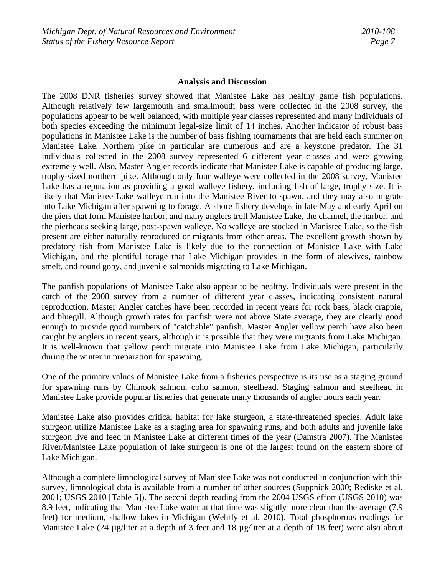#### **Analysis and Discussion**

The 2008 DNR fisheries survey showed that Manistee Lake has healthy game fish populations. Although relatively few largemouth and smallmouth bass were collected in the 2008 survey, the populations appear to be well balanced, with multiple year classes represented and many individuals of both species exceeding the minimum legal-size limit of 14 inches. Another indicator of robust bass populations in Manistee Lake is the number of bass fishing tournaments that are held each summer on Manistee Lake. Northern pike in particular are numerous and are a keystone predator. The 31 individuals collected in the 2008 survey represented 6 different year classes and were growing extremely well. Also, Master Angler records indicate that Manistee Lake is capable of producing large, trophy-sized northern pike. Although only four walleye were collected in the 2008 survey, Manistee Lake has a reputation as providing a good walleye fishery, including fish of large, trophy size. It is likely that Manistee Lake walleye run into the Manistee River to spawn, and they may also migrate into Lake Michigan after spawning to forage. A shore fishery develops in late May and early April on the piers that form Manistee harbor, and many anglers troll Manistee Lake, the channel, the harbor, and the pierheads seeking large, post-spawn walleye. No walleye are stocked in Manistee Lake, so the fish present are either naturally reproduced or migrants from other areas. The excellent growth shown by predatory fish from Manistee Lake is likely due to the connection of Manistee Lake with Lake Michigan, and the plentiful forage that Lake Michigan provides in the form of alewives, rainbow smelt, and round goby, and juvenile salmonids migrating to Lake Michigan.

The panfish populations of Manistee Lake also appear to be healthy. Individuals were present in the catch of the 2008 survey from a number of different year classes, indicating consistent natural reproduction. Master Angler catches have been recorded in recent years for rock bass, black crappie, and bluegill. Although growth rates for panfish were not above State average, they are clearly good enough to provide good numbers of "catchable" panfish. Master Angler yellow perch have also been caught by anglers in recent years, although it is possible that they were migrants from Lake Michigan. It is well-known that yellow perch migrate into Manistee Lake from Lake Michigan, particularly during the winter in preparation for spawning.

One of the primary values of Manistee Lake from a fisheries perspective is its use as a staging ground for spawning runs by Chinook salmon, coho salmon, steelhead. Staging salmon and steelhead in Manistee Lake provide popular fisheries that generate many thousands of angler hours each year.

Manistee Lake also provides critical habitat for lake sturgeon, a state-threatened species. Adult lake sturgeon utilize Manistee Lake as a staging area for spawning runs, and both adults and juvenile lake sturgeon live and feed in Manistee Lake at different times of the year (Damstra 2007). The Manistee River/Manistee Lake population of lake sturgeon is one of the largest found on the eastern shore of Lake Michigan.

Although a complete limnological survey of Manistee Lake was not conducted in conjunction with this survey, limnological data is available from a number of other sources (Suppnick 2000; Rediske et al. 2001; USGS 2010 [Table 5]). The secchi depth reading from the 2004 USGS effort (USGS 2010) was 8.9 feet, indicating that Manistee Lake water at that time was slightly more clear than the average (7.9 feet) for medium, shallow lakes in Michigan (Wehrly et al. 2010). Total phosphorous readings for Manistee Lake (24 µg/liter at a depth of 3 feet and 18 µg/liter at a depth of 18 feet) were also about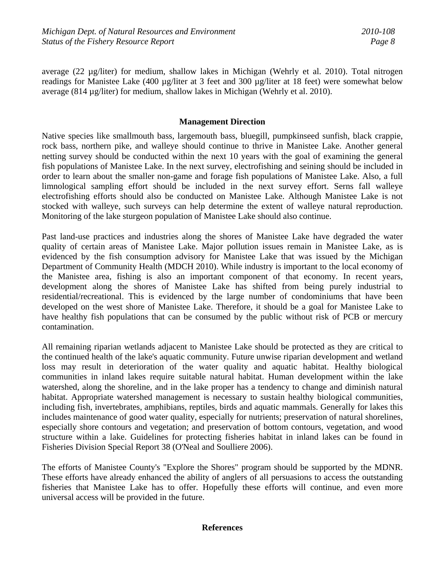average (22 µg/liter) for medium, shallow lakes in Michigan (Wehrly et al. 2010). Total nitrogen readings for Manistee Lake (400 µg/liter at 3 feet and 300 µg/liter at 18 feet) were somewhat below average (814 µg/liter) for medium, shallow lakes in Michigan (Wehrly et al. 2010).

## **Management Direction**

Native species like smallmouth bass, largemouth bass, bluegill, pumpkinseed sunfish, black crappie, rock bass, northern pike, and walleye should continue to thrive in Manistee Lake. Another general netting survey should be conducted within the next 10 years with the goal of examining the general fish populations of Manistee Lake. In the next survey, electrofishing and seining should be included in order to learn about the smaller non-game and forage fish populations of Manistee Lake. Also, a full limnological sampling effort should be included in the next survey effort. Serns fall walleye electrofishing efforts should also be conducted on Manistee Lake. Although Manistee Lake is not stocked with walleye, such surveys can help determine the extent of walleye natural reproduction. Monitoring of the lake sturgeon population of Manistee Lake should also continue.

Past land-use practices and industries along the shores of Manistee Lake have degraded the water quality of certain areas of Manistee Lake. Major pollution issues remain in Manistee Lake, as is evidenced by the fish consumption advisory for Manistee Lake that was issued by the Michigan Department of Community Health (MDCH 2010). While industry is important to the local economy of the Manistee area, fishing is also an important component of that economy. In recent years, development along the shores of Manistee Lake has shifted from being purely industrial to residential/recreational. This is evidenced by the large number of condominiums that have been developed on the west shore of Manistee Lake. Therefore, it should be a goal for Manistee Lake to have healthy fish populations that can be consumed by the public without risk of PCB or mercury contamination.

All remaining riparian wetlands adjacent to Manistee Lake should be protected as they are critical to the continued health of the lake's aquatic community. Future unwise riparian development and wetland loss may result in deterioration of the water quality and aquatic habitat. Healthy biological communities in inland lakes require suitable natural habitat. Human development within the lake watershed, along the shoreline, and in the lake proper has a tendency to change and diminish natural habitat. Appropriate watershed management is necessary to sustain healthy biological communities, including fish, invertebrates, amphibians, reptiles, birds and aquatic mammals. Generally for lakes this includes maintenance of good water quality, especially for nutrients; preservation of natural shorelines, especially shore contours and vegetation; and preservation of bottom contours, vegetation, and wood structure within a lake. Guidelines for protecting fisheries habitat in inland lakes can be found in Fisheries Division Special Report 38 (O'Neal and Soulliere 2006).

The efforts of Manistee County's "Explore the Shores" program should be supported by the MDNR. These efforts have already enhanced the ability of anglers of all persuasions to access the outstanding fisheries that Manistee Lake has to offer. Hopefully these efforts will continue, and even more universal access will be provided in the future.

### **References**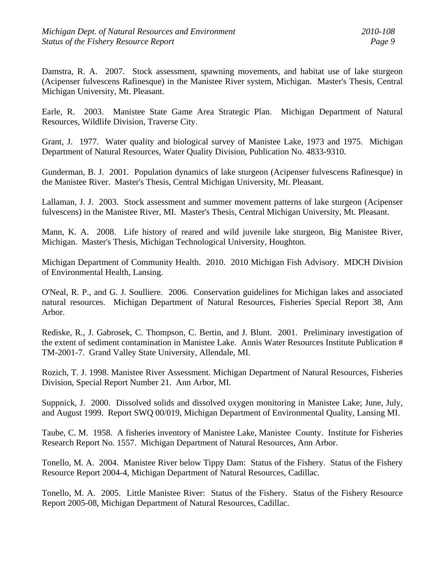Damstra, R. A. 2007. Stock assessment, spawning movements, and habitat use of lake sturgeon (Acipenser fulvescens Rafinesque) in the Manistee River system, Michigan. Master's Thesis, Central Michigan University, Mt. Pleasant.

Earle, R. 2003. Manistee State Game Area Strategic Plan. Michigan Department of Natural Resources, Wildlife Division, Traverse City.

Grant, J. 1977. Water quality and biological survey of Manistee Lake, 1973 and 1975. Michigan Department of Natural Resources, Water Quality Division, Publication No. 4833-9310.

Gunderman, B. J. 2001. Population dynamics of lake sturgeon (Acipenser fulvescens Rafinesque) in the Manistee River. Master's Thesis, Central Michigan University, Mt. Pleasant.

Lallaman, J. J. 2003. Stock assessment and summer movement patterns of lake sturgeon (Acipenser fulvescens) in the Manistee River, MI. Master's Thesis, Central Michigan University, Mt. Pleasant.

Mann, K. A. 2008. Life history of reared and wild juvenile lake sturgeon, Big Manistee River, Michigan. Master's Thesis, Michigan Technological University, Houghton.

Michigan Department of Community Health. 2010. 2010 Michigan Fish Advisory. MDCH Division of Environmental Health, Lansing.

O'Neal, R. P., and G. J. Soulliere. 2006. Conservation guidelines for Michigan lakes and associated natural resources. Michigan Department of Natural Resources, Fisheries Special Report 38, Ann Arbor.

Rediske, R., J. Gabrosek, C. Thompson, C. Bertin, and J. Blunt. 2001. Preliminary investigation of the extent of sediment contamination in Manistee Lake. Annis Water Resources Institute Publication # TM-2001-7. Grand Valley State University, Allendale, MI.

Rozich, T. J. 1998. Manistee River Assessment. Michigan Department of Natural Resources, Fisheries Division, Special Report Number 21. Ann Arbor, MI.

Suppnick, J. 2000. Dissolved solids and dissolved oxygen monitoring in Manistee Lake; June, July, and August 1999. Report SWQ 00/019, Michigan Department of Environmental Quality, Lansing MI.

Taube, C. M. 1958. A fisheries inventory of Manistee Lake, Manistee County. Institute for Fisheries Research Report No. 1557. Michigan Department of Natural Resources, Ann Arbor.

Tonello, M. A. 2004. Manistee River below Tippy Dam: Status of the Fishery. Status of the Fishery Resource Report 2004-4, Michigan Department of Natural Resources, Cadillac.

Tonello, M. A. 2005. Little Manistee River: Status of the Fishery. Status of the Fishery Resource Report 2005-08, Michigan Department of Natural Resources, Cadillac.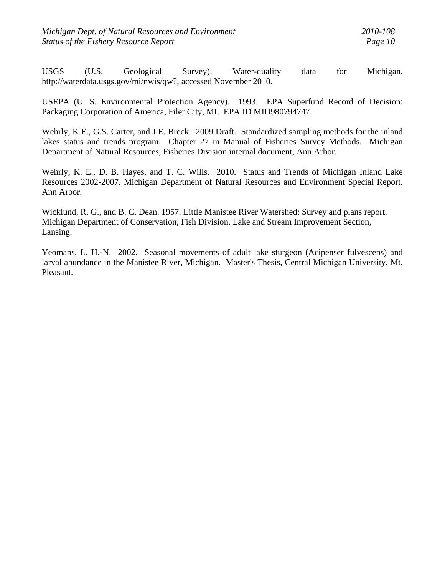USGS (U.S. Geological Survey). Water-quality data for Michigan. http://waterdata.usgs.gov/mi/nwis/qw?, accessed November 2010.

USEPA (U. S. Environmental Protection Agency). 1993. EPA Superfund Record of Decision: Packaging Corporation of America, Filer City, MI. EPA ID MID980794747.

Wehrly, K.E., G.S. Carter, and J.E. Breck. 2009 Draft. Standardized sampling methods for the inland lakes status and trends program. Chapter 27 in Manual of Fisheries Survey Methods. Michigan Department of Natural Resources, Fisheries Division internal document, Ann Arbor.

Wehrly, K. E., D. B. Hayes, and T. C. Wills. 2010. Status and Trends of Michigan Inland Lake Resources 2002-2007. Michigan Department of Natural Resources and Environment Special Report. Ann Arbor.

Wicklund, R. G., and B. C. Dean. 1957. Little Manistee River Watershed: Survey and plans report. Michigan Department of Conservation, Fish Division, Lake and Stream Improvement Section, Lansing.

Yeomans, L. H.-N. 2002. Seasonal movements of adult lake sturgeon (Acipenser fulvescens) and larval abundance in the Manistee River, Michigan. Master's Thesis, Central Michigan University, Mt. Pleasant.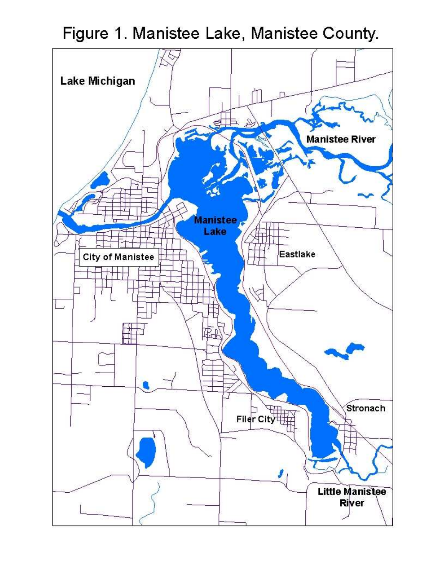Figure 1. Manistee Lake, Manistee County.

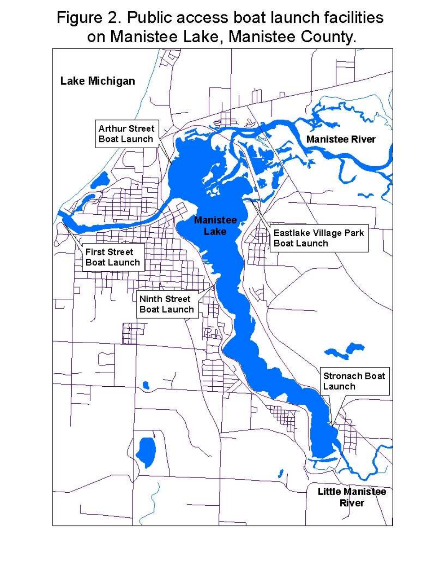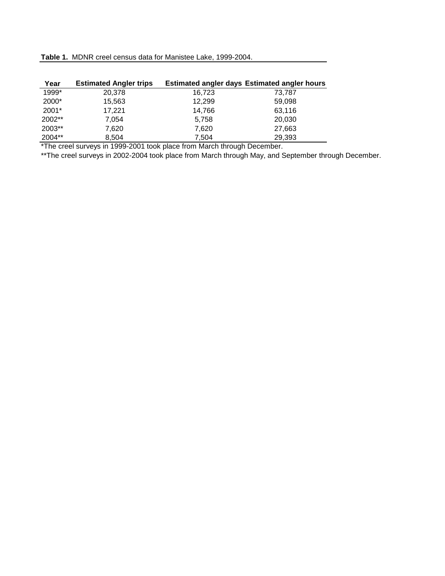|  |  |  |  |  |  | Table 1. MDNR creel census data for Manistee Lake, 1999-2004. |
|--|--|--|--|--|--|---------------------------------------------------------------|
|--|--|--|--|--|--|---------------------------------------------------------------|

| Year   | <b>Estimated Angler trips</b> |        | <b>Estimated angler days Estimated angler hours</b> |
|--------|-------------------------------|--------|-----------------------------------------------------|
| 1999*  | 20,378                        | 16.723 | 73.787                                              |
| 2000*  | 15,563                        | 12,299 | 59,098                                              |
| 2001*  | 17,221                        | 14,766 | 63,116                                              |
| 2002** | 7.054                         | 5.758  | 20,030                                              |
| 2003** | 7.620                         | 7,620  | 27,663                                              |
| 2004** | 8,504                         | 7,504  | 29,393                                              |

\*The creel surveys in 1999-2001 took place from March through December.

\*\*The creel surveys in 2002-2004 took place from March through May, and September through December.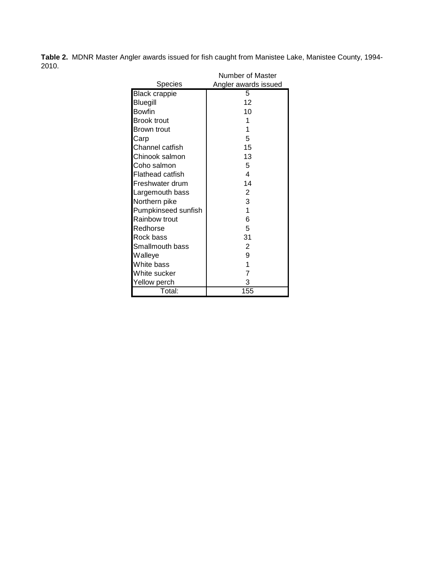**Table 2.** MDNR Master Angler awards issued for fish caught from Manistee Lake, Manistee County, 1994- 2010.

|                      | Number of Master     |
|----------------------|----------------------|
| Species              | Angler awards issued |
| <b>Black crappie</b> | 5                    |
| Bluegill             | 12                   |
| Bowfin               | 10                   |
| <b>Brook trout</b>   | 1                    |
| Brown trout          | 1                    |
| Carp                 | 5                    |
| Channel catfish      | 15                   |
| Chinook salmon       | 13                   |
| Coho salmon          | 5                    |
| Flathead catfish     | 4                    |
| Freshwater drum      | 14                   |
| Largemouth bass      | 2                    |
| Northern pike        | 3                    |
| Pumpkinseed sunfish  | 1                    |
| Rainbow trout        | 6                    |
| Redhorse             | 5                    |
| Rock bass            | 31                   |
| Smallmouth bass      | 2                    |
| Walleye              | 9                    |
| White bass           | 1                    |
| White sucker         | 7                    |
| Yellow perch         | 3                    |
| Total:               | 155                  |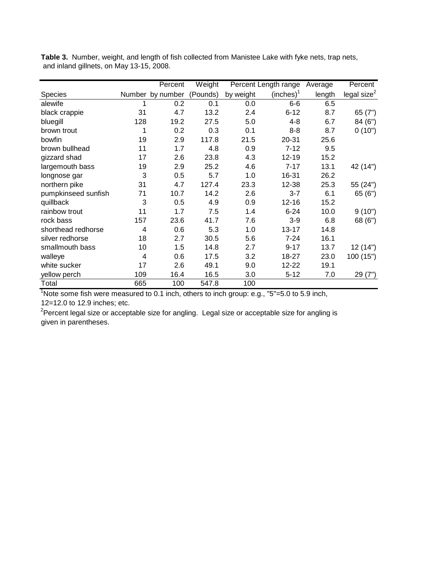|                     |     | Percent          | Weight   |           | Percent Length range  | Average | Percent                 |
|---------------------|-----|------------------|----------|-----------|-----------------------|---------|-------------------------|
| Species             |     | Number by number | (Pounds) | by weight | (inches) <sup>1</sup> | length  | legal size <sup>2</sup> |
| alewife             | 1   | 0.2              | 0.1      | 0.0       | $6-6$                 | 6.5     |                         |
| black crappie       | 31  | 4.7              | 13.2     | 2.4       | $6 - 12$              | 8.7     | 65(7")                  |
| bluegill            | 128 | 19.2             | 27.5     | 5.0       | 4-8                   | 6.7     | 84 (6")                 |
| brown trout         | 1   | 0.2              | 0.3      | 0.1       | $8 - 8$               | 8.7     | 0(10")                  |
| bowfin              | 19  | 2.9              | 117.8    | 21.5      | 20-31                 | 25.6    |                         |
| brown bullhead      | 11  | 1.7              | 4.8      | 0.9       | $7 - 12$              | 9.5     |                         |
| gizzard shad        | 17  | 2.6              | 23.8     | 4.3       | 12-19                 | 15.2    |                         |
| largemouth bass     | 19  | 2.9              | 25.2     | 4.6       | $7 - 17$              | 13.1    | 42 (14")                |
| longnose gar        | 3   | 0.5              | 5.7      | 1.0       | 16-31                 | 26.2    |                         |
| northern pike       | 31  | 4.7              | 127.4    | 23.3      | 12-38                 | 25.3    | 55 (24")                |
| pumpkinseed sunfish | 71  | 10.7             | 14.2     | 2.6       | $3 - 7$               | 6.1     | 65(6")                  |
| quillback           | 3   | 0.5              | 4.9      | 0.9       | $12 - 16$             | 15.2    |                         |
| rainbow trout       | 11  | 1.7              | 7.5      | 1.4       | $6 - 24$              | 10.0    | 9(10")                  |
| rock bass           | 157 | 23.6             | 41.7     | 7.6       | $3-9$                 | 6.8     | 68 (6")                 |
| shorthead redhorse  | 4   | 0.6              | 5.3      | 1.0       | $13 - 17$             | 14.8    |                         |
| silver redhorse     | 18  | 2.7              | 30.5     | 5.6       | $7 - 24$              | 16.1    |                         |
| smallmouth bass     | 10  | 1.5              | 14.8     | 2.7       | $9 - 17$              | 13.7    | 12 (14")                |
| walleye             | 4   | 0.6              | 17.5     | 3.2       | 18-27                 | 23.0    | 100(15")                |
| white sucker        | 17  | 2.6              | 49.1     | 9.0       | 12-22                 | 19.1    |                         |
| yellow perch        | 109 | 16.4             | 16.5     | 3.0       | $5 - 12$              | 7.0     | 29(7")                  |
| Total               | 665 | 100              | 547.8    | 100       |                       |         |                         |

**Table 3.** Number, weight, and length of fish collected from Manistee Lake with fyke nets, trap nets, and inland gillnets, on May 13-15, 2008.

 $1$ Note some fish were measured to 0.1 inch, others to inch group: e.g.,  $5 - 5.0$  to 5.9 inch, 12=12.0 to 12.9 inches; etc.

<sup>2</sup>Percent legal size or acceptable size for angling. Legal size or acceptable size for angling is given in parentheses.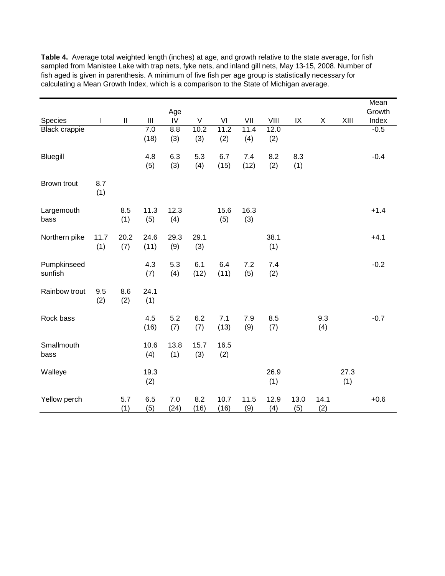|                        |             |                            |                                                        |             |                     |              |             |              |             |             |             | Mean   |
|------------------------|-------------|----------------------------|--------------------------------------------------------|-------------|---------------------|--------------|-------------|--------------|-------------|-------------|-------------|--------|
|                        |             |                            |                                                        | Age         |                     |              |             |              |             |             |             | Growth |
| Species                | T           | $\ensuremath{\mathsf{II}}$ | $\ensuremath{\mathsf{III}}\xspace$<br>$\overline{7.0}$ | ${\sf IV}$  | $\mathsf V$<br>10.2 | VI<br>11.2   | VII<br>11.4 | VIII<br>12.0 | IX          | X           | XIII        | Index  |
| <b>Black crappie</b>   |             |                            | (18)                                                   | 8.8<br>(3)  | (3)                 | (2)          | (4)         | (2)          |             |             |             | $-0.5$ |
| <b>Bluegill</b>        |             |                            | 4.8<br>(5)                                             | 6.3<br>(3)  | 5.3<br>(4)          | 6.7<br>(15)  | 7.4<br>(12) | 8.2<br>(2)   | 8.3<br>(1)  |             |             | $-0.4$ |
| Brown trout            | 8.7<br>(1)  |                            |                                                        |             |                     |              |             |              |             |             |             |        |
| Largemouth<br>bass     |             | 8.5<br>(1)                 | 11.3<br>(5)                                            | 12.3<br>(4) |                     | 15.6<br>(5)  | 16.3<br>(3) |              |             |             |             | $+1.4$ |
| Northern pike          | 11.7<br>(1) | 20.2<br>(7)                | 24.6<br>(11)                                           | 29.3<br>(9) | 29.1<br>(3)         |              |             | 38.1<br>(1)  |             |             |             | $+4.1$ |
| Pumpkinseed<br>sunfish |             |                            | 4.3<br>(7)                                             | 5.3<br>(4)  | 6.1<br>(12)         | 6.4<br>(11)  | 7.2<br>(5)  | 7.4<br>(2)   |             |             |             | $-0.2$ |
| Rainbow trout          | 9.5<br>(2)  | 8.6<br>(2)                 | 24.1<br>(1)                                            |             |                     |              |             |              |             |             |             |        |
| Rock bass              |             |                            | 4.5<br>(16)                                            | 5.2<br>(7)  | 6.2<br>(7)          | 7.1<br>(13)  | 7.9<br>(9)  | 8.5<br>(7)   |             | 9.3<br>(4)  |             | $-0.7$ |
| Smallmouth<br>bass     |             |                            | 10.6<br>(4)                                            | 13.8<br>(1) | 15.7<br>(3)         | 16.5<br>(2)  |             |              |             |             |             |        |
| Walleye                |             |                            | 19.3<br>(2)                                            |             |                     |              |             | 26.9<br>(1)  |             |             | 27.3<br>(1) |        |
| Yellow perch           |             | 5.7<br>(1)                 | 6.5<br>(5)                                             | 7.0<br>(24) | 8.2<br>(16)         | 10.7<br>(16) | 11.5<br>(9) | 12.9<br>(4)  | 13.0<br>(5) | 14.1<br>(2) |             | $+0.6$ |

**Table 4.** Average total weighted length (inches) at age, and growth relative to the state average, for fish sampled from Manistee Lake with trap nets, fyke nets, and inland gill nets, May 13-15, 2008. Number of fish aged is given in parenthesis. A minimum of five fish per age group is statistically necessary for calculating a Mean Growth Index, which is a comparison to the State of Michigan average.